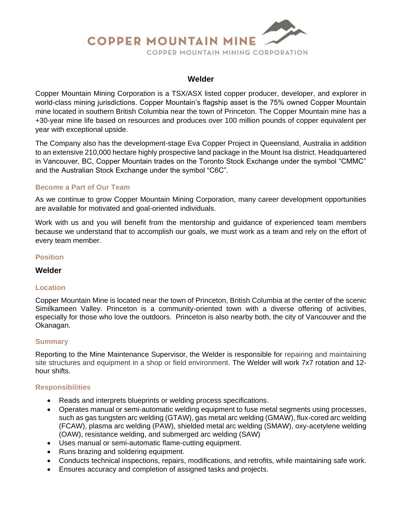# **COPPER MOUNTAIN MINE** COPPER MOUNTAIN MINING CORPORATION

#### **Welder**

Copper Mountain Mining Corporation is a TSX/ASX listed copper producer, developer, and explorer in world-class mining jurisdictions. Copper Mountain's flagship asset is the 75% owned Copper Mountain mine located in southern British Columbia near the town of Princeton. The Copper Mountain mine has a +30-year mine life based on resources and produces over 100 million pounds of copper equivalent per year with exceptional upside.

The Company also has the development-stage Eva Copper Project in Queensland, Australia in addition to an extensive 210,000 hectare highly prospective land package in the Mount Isa district. Headquartered in Vancouver, BC, Copper Mountain trades on the Toronto Stock Exchange under the symbol "CMMC" and the Australian Stock Exchange under the symbol "C6C".

### **Become a Part of Our Team**

As we continue to grow Copper Mountain Mining Corporation, many career development opportunities are available for motivated and goal-oriented individuals.

Work with us and you will benefit from the mentorship and guidance of experienced team members because we understand that to accomplish our goals, we must work as a team and rely on the effort of every team member.

## **Position**

#### **Welder**

#### **Location**

Copper Mountain Mine is located near the town of Princeton, British Columbia at the center of the scenic Similkameen Valley. Princeton is a community-oriented town with a diverse offering of activities, especially for those who love the outdoors. Princeton is also nearby both, the city of Vancouver and the Okanagan.

#### **Summary**

Reporting to the Mine Maintenance Supervisor, the Welder is responsible for repairing and maintaining site structures and equipment in a shop or field environment. The Welder will work 7x7 rotation and 12 hour shifts.

#### **Responsibilities**

- Reads and interprets blueprints or welding process specifications.
- Operates manual or semi-automatic welding equipment to fuse metal segments using processes, such as gas tungsten arc welding (GTAW), gas metal arc welding (GMAW), flux-cored arc welding (FCAW), plasma arc welding (PAW), shielded metal arc welding (SMAW), oxy-acetylene welding (OAW), resistance welding, and submerged arc welding (SAW)
- Uses manual or semi-automatic flame-cutting equipment.
- Runs brazing and soldering equipment.
- Conducts technical inspections, repairs, modifications, and retrofits, while maintaining safe work.
- Ensures accuracy and completion of assigned tasks and projects.